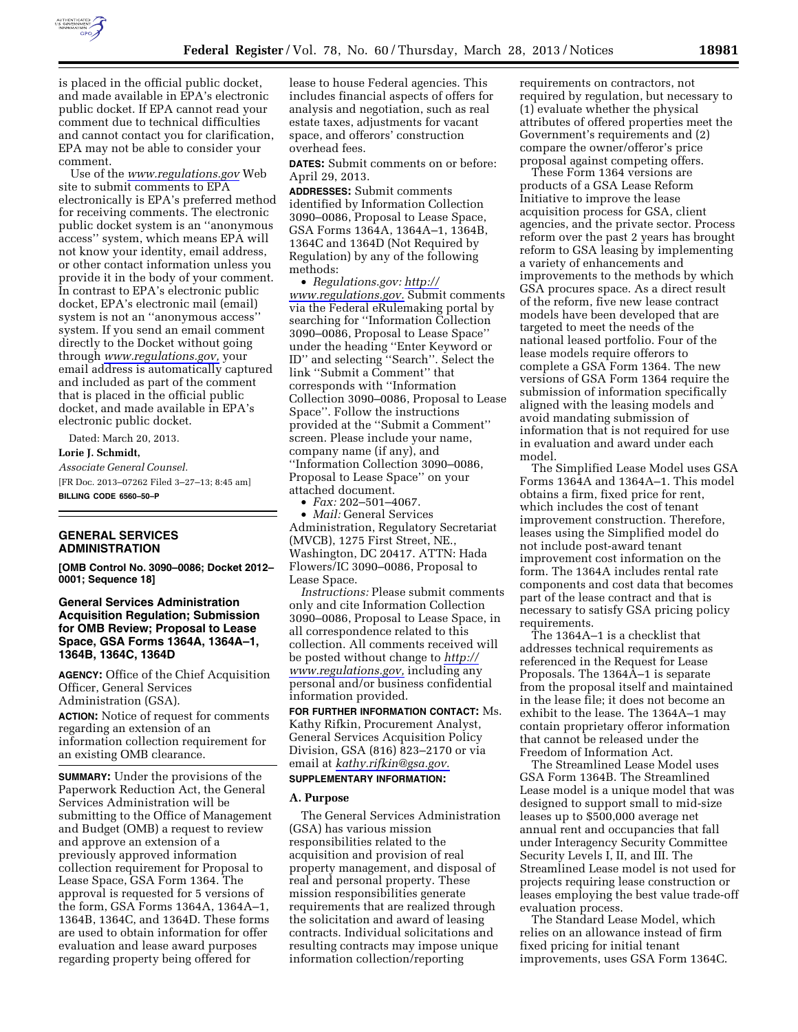

is placed in the official public docket, and made available in EPA's electronic public docket. If EPA cannot read your comment due to technical difficulties and cannot contact you for clarification, EPA may not be able to consider your comment.

Use of the *[www.regulations.gov](http://www.regulations.gov)* Web site to submit comments to EPA electronically is EPA's preferred method for receiving comments. The electronic public docket system is an ''anonymous access'' system, which means EPA will not know your identity, email address, or other contact information unless you provide it in the body of your comment. In contrast to EPA's electronic public docket, EPA's electronic mail (email) system is not an ''anonymous access'' system. If you send an email comment directly to the Docket without going through *[www.regulations.gov,](http://www.regulations.gov)* your email address is automatically captured and included as part of the comment that is placed in the official public docket, and made available in EPA's electronic public docket.

Dated: March 20, 2013.

#### **Lorie J. Schmidt,**

*Associate General Counsel.*  [FR Doc. 2013–07262 Filed 3–27–13; 8:45 am] **BILLING CODE 6560–50–P** 

# **GENERAL SERVICES ADMINISTRATION**

**[OMB Control No. 3090–0086; Docket 2012– 0001; Sequence 18]** 

**General Services Administration Acquisition Regulation; Submission for OMB Review; Proposal to Lease Space, GSA Forms 1364A, 1364A–1, 1364B, 1364C, 1364D** 

**AGENCY:** Office of the Chief Acquisition Officer, General Services Administration (GSA).

**ACTION:** Notice of request for comments regarding an extension of an information collection requirement for an existing OMB clearance.

**SUMMARY:** Under the provisions of the Paperwork Reduction Act, the General Services Administration will be submitting to the Office of Management and Budget (OMB) a request to review and approve an extension of a previously approved information collection requirement for Proposal to Lease Space, GSA Form 1364. The approval is requested for 5 versions of the form, GSA Forms 1364A, 1364A–1, 1364B, 1364C, and 1364D. These forms are used to obtain information for offer evaluation and lease award purposes regarding property being offered for

lease to house Federal agencies. This includes financial aspects of offers for analysis and negotiation, such as real estate taxes, adjustments for vacant space, and offerors' construction overhead fees.

**DATES:** Submit comments on or before: April 29, 2013.

**ADDRESSES:** Submit comments identified by Information Collection 3090–0086, Proposal to Lease Space, GSA Forms 1364A, 1364A–1, 1364B, 1364C and 1364D (Not Required by Regulation) by any of the following methods:

• *Regulations.gov: [http://](http://www.regulations.gov)  [www.regulations.gov.](http://www.regulations.gov)* Submit comments via the Federal eRulemaking portal by searching for ''Information Collection 3090–0086, Proposal to Lease Space'' under the heading ''Enter Keyword or ID'' and selecting ''Search''. Select the link ''Submit a Comment'' that corresponds with ''Information Collection 3090–0086, Proposal to Lease Space''. Follow the instructions provided at the ''Submit a Comment'' screen. Please include your name, company name (if any), and ''Information Collection 3090–0086, Proposal to Lease Space'' on your attached document.

• *Fax:* 202–501–4067.

• *Mail:* General Services Administration, Regulatory Secretariat (MVCB), 1275 First Street, NE., Washington, DC 20417. ATTN: Hada Flowers/IC 3090–0086, Proposal to Lease Space.

*Instructions:* Please submit comments only and cite Information Collection 3090–0086, Proposal to Lease Space, in all correspondence related to this collection. All comments received will be posted without change to *[http://](http://www.regulations.gov) [www.regulations.gov,](http://www.regulations.gov)* including any personal and/or business confidential information provided.

**FOR FURTHER INFORMATION CONTACT:** Ms. Kathy Rifkin, Procurement Analyst, General Services Acquisition Policy Division, GSA (816) 823–2170 or via email at *[kathy.rifkin@gsa.gov.](mailto:kathy.rifkin@gsa.gov)* 

### **SUPPLEMENTARY INFORMATION:**

#### **A. Purpose**

The General Services Administration (GSA) has various mission responsibilities related to the acquisition and provision of real property management, and disposal of real and personal property. These mission responsibilities generate requirements that are realized through the solicitation and award of leasing contracts. Individual solicitations and resulting contracts may impose unique information collection/reporting

requirements on contractors, not required by regulation, but necessary to (1) evaluate whether the physical attributes of offered properties meet the Government's requirements and (2) compare the owner/offeror's price proposal against competing offers.

These Form 1364 versions are products of a GSA Lease Reform Initiative to improve the lease acquisition process for GSA, client agencies, and the private sector. Process reform over the past 2 years has brought reform to GSA leasing by implementing a variety of enhancements and improvements to the methods by which GSA procures space. As a direct result of the reform, five new lease contract models have been developed that are targeted to meet the needs of the national leased portfolio. Four of the lease models require offerors to complete a GSA Form 1364. The new versions of GSA Form 1364 require the submission of information specifically aligned with the leasing models and avoid mandating submission of information that is not required for use in evaluation and award under each model.

The Simplified Lease Model uses GSA Forms 1364A and 1364A–1. This model obtains a firm, fixed price for rent, which includes the cost of tenant improvement construction. Therefore, leases using the Simplified model do not include post-award tenant improvement cost information on the form. The 1364A includes rental rate components and cost data that becomes part of the lease contract and that is necessary to satisfy GSA pricing policy requirements.

The 1364A–1 is a checklist that addresses technical requirements as referenced in the Request for Lease Proposals. The 1364A–1 is separate from the proposal itself and maintained in the lease file; it does not become an exhibit to the lease. The 1364A–1 may contain proprietary offeror information that cannot be released under the Freedom of Information Act.

The Streamlined Lease Model uses GSA Form 1364B. The Streamlined Lease model is a unique model that was designed to support small to mid-size leases up to \$500,000 average net annual rent and occupancies that fall under Interagency Security Committee Security Levels I, II, and III. The Streamlined Lease model is not used for projects requiring lease construction or leases employing the best value trade-off evaluation process.

The Standard Lease Model, which relies on an allowance instead of firm fixed pricing for initial tenant improvements, uses GSA Form 1364C.